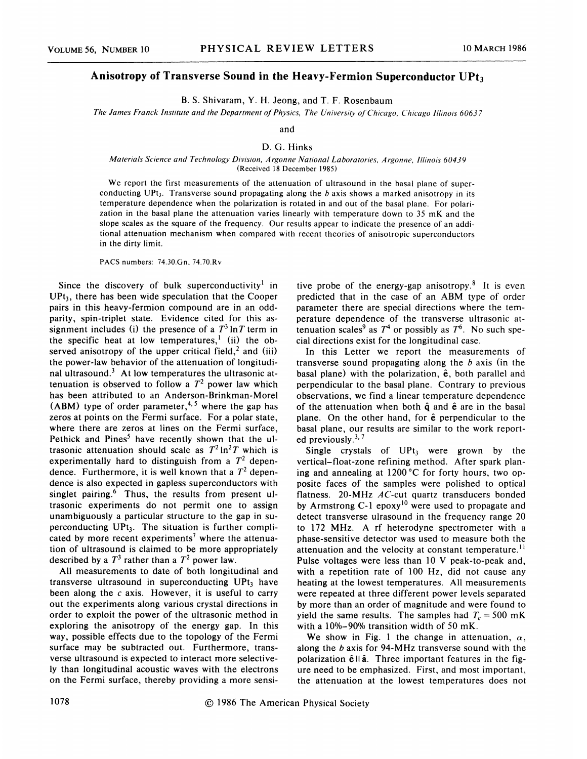## Anisotropy of Transverse Sound in the Heavy-Fermion Superconductor  $UPt_3$

B. S. Shivaram, Y. H. Jeong, and T. F. Rosenbaum

The James Franck Institute and the Department of Physics, The University of Chicago, Chicago Illinois 60637

and

## D. G. Hinks

## Materials Science and Technology Division, Argonne National Laboratories, Argonne, Illinois 60439 (Received 18 December 1985)

We report the first measurements of the attenuation of ultrasound in the basal plane of superconducting UPt<sub>3</sub>. Transverse sound propagating along the b axis shows a marked anisotropy in its temperature dependence when the polarization is rotated in and out of the basal plane. For polarization in the basal plane the attenuation varies linearly with temperature down to 35 mK and the slope scales as the square of the frequency. Our results appear to indicate the presence of an additional attenuation mechanism when compared with recent theories of anisotropic superconductors in the dirty limit.

PACS numbers: 74.30.6n, 74.70.Rv

Since the discovery of bulk superconductivity<sup>1</sup> in  $UPt<sub>3</sub>$ , there has been wide speculation that the Cooper pairs in this heavy-fermion compound are in an oddparity, spin-triplet state. Evidence cited for this assignment includes (i) the presence of a  $T^3 \ln T$  term in the specific heat at low temperatures,<sup>1</sup> (ii) the observed anisotropy of the upper critical field,<sup>2</sup> and (iii) the power-law behavior of the attenuation of longitudinal ultrasound.<sup>3</sup> At low temperatures the ultrasonic attenuation is observed to follow a  $T^2$  power law which has been attributed to an Anderson-Brinkman-Morel (ABM) type of order parameter, $4,5$  where the gap has zeros at points on the Fermi surface. For a polar state, where there are zeros at lines on the Fermi surface, Pethick and Pines<sup>5</sup> have recently shown that the ultrasonic attenuation should scale as  $T^2 \ln^2 T$  which is experimentally hard to distinguish from a  $T^2$  dependence. Furthermore, it is well known that a  $T^2$  dependence is also expected in gapless superconductors with singlet pairing. $6$  Thus, the results from present ultrasonic experiments do not permit one to assign unambiguously a particular structure to the gap in superconducting  $UPt_3$ . The situation is further complicated by more recent experiments<sup>7</sup> where the attenuation of ultrasound is claimed to be more appropriately described by a  $T^3$  rather than a  $T^2$  power law.

All measurements to date of both longitudinal and transverse ultrasound in superconducting  $UPt<sub>3</sub>$  have been along the  $c$  axis. However, it is useful to carry out the experiments along various crystal directions in order to exploit the power of the ultrasonic method in exploring the anisotropy of the energy gap. In this way, possible effects due to the topology of the Fermi surface may be subtracted out. Furthermore, transverse ultrasound is expected to interact more selectively than longitudinal acoustic waves with the electrons on the Fermi surface, thereby providing a more sensi-

tive probe of the energy-gap anisotropy.<sup>8</sup> It is even predicted that in the case of an ABM type of order parameter there are special directions where the temperature dependence of the transverse ultrasonic attenuation scales<sup>9</sup> as  $T^4$  or possibly as  $T^6$ . No such special directions exist for the longitudinal case.

In this Letter we report the measurements of transverse sound propagating along the  $b$  axis (in the basal plane) with the polarization,  $\hat{e}$ , both parallel and perpendicular to the basal plane. Contrary to previous observations, we find a linear temperature dependence of the attenuation when both  $\hat{q}$  and  $\hat{e}$  are in the basal plane. On the other hand, for  $\hat{e}$  perpendicular to the basal plane, our results are similar to the work reported previously. $3,7$ 

Single crystals of  $UPt_3$  were grown by the vertical-float-zone refining method. After spark planing and annealing at 1200'C for forty hours, two opposite faces of the samples were polished to optical flatness. 20-MHz AC-cut quartz transducers bonded by Armstrong C-1 epoxy<sup>10</sup> were used to propagate and detect transverse ulrasound in the frequency range 20 to 172 MHz. A rf heterodyne spectrometer with a phase-sensitive detector was used to measure both the attenuation and the velocity at constant temperature.<sup>11</sup> Pulse voltages were less than 10 V peak-to-peak and, with a repetition rate of 100 Hz, did not cause any heating at the lowest temperatures. All measurements were repeated at three different power levels separated by more than an order of magnitude and were found to yield the same results. The samples had  $T_c = 500$  mK with a  $10\% - 90\%$  transition width of 50 mK.

We show in Fig. 1 the change in attenuation,  $\alpha$ , along the b axis for 94-MHz transverse sound with the polarization  $\hat{\mathbf{e}}$  II  $\hat{\mathbf{a}}$ . Three important features in the figure need to be emphasized. First, and most important, the attenuation at the lowest temperatures does not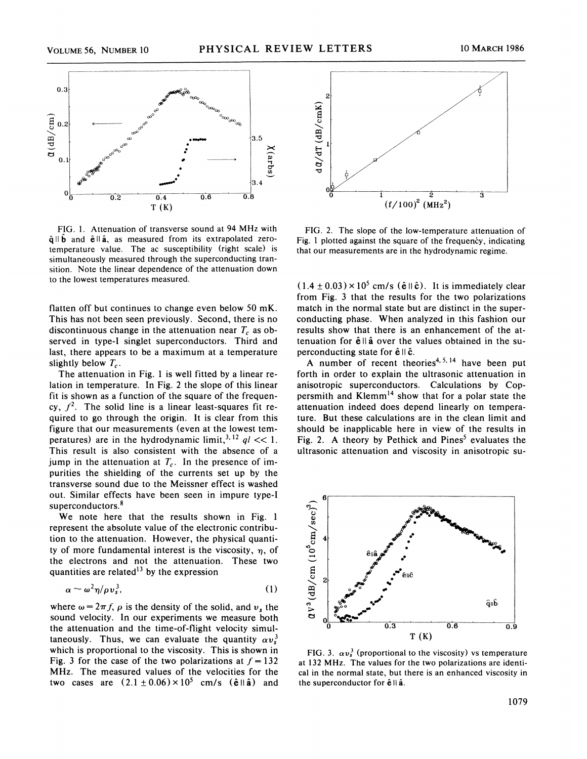

FIG. 1. Attenuation of transverse sound at 94 MHz with  $\hat{\mathbf{q}} \parallel \hat{\mathbf{b}}$  and  $\hat{\mathbf{e}} \parallel \hat{\mathbf{a}}$ , as measured from its extrapolated zerotemperature value. The ac susceptibility (right scale) is simultaneously measured through the superconducting transition. Note the linear dependence of the attenuation down to the lowest temperatures measured.

flatten off but continues to change even below 50 mK. This has not been seen previously. Second, there is no discontinuous change in the attenuation near  $T_c$  as observed in type-I singlet superconductors. Third and last, there appears to be a maximum at a temperature slightly below  $T_c$ .

The attenuation in Fig. <sup>1</sup> is well fitted by a linear relation in temperature. In Fig. 2 the slope of this linear fit is shown as a function of the square of the frequency,  $f^2$ . The solid line is a linear least-squares fit required to go through the origin. It is clear from this figure that our measurements (even at the lowest temfigure that our measurements (even at the lowest temperatures) are in the hydrodynamic limit,  $3, 12, q1 \ll 1$ . This result is also consistent with the absence of a jump in the attenuation at  $T_c$ . In the presence of impurities the shielding of the currents set up by the transverse sound due to the Meissner effect is washed out. Similar effects have been seen in impure type-I superconductors.<sup>8</sup>

We note here that the results shown in Fig. 1 represent the absolute value of the electronic contribution to the attenuation, However, the physical quantity of more fundamental interest is the viscosity,  $\eta$ , of the electrons and not the attenuation. These two quantities are related<sup>13</sup> by the expression

$$
\alpha \sim \omega^2 \eta / \rho v_s^3, \tag{1}
$$

where  $\omega = 2\pi f$ ,  $\rho$  is the density of the solid, and  $v_s$  the sound velocity. In our experiments we measure both the attenuation and the time-of-flight velocity simultaneously. Thus, we can evaluate the quantity  $\alpha v_s^3$ which is proportional to the viscosity. This is shown in Fig. 3 for the case of the two polarizations at  $f = 132$ MHZ. The measured values of the velocities for the two cases are  $(2.1 \pm 0.06) \times 10^5$  cm/s ( $\hat{e}$ || $\hat{a}$ ) and



FIG. 2, The slope of the low-temperature attenuation of Fig. 1 plotted against the square of the frequency, indicating that our measurements are in the hydrodynamic regime.

 $(1.4 \pm 0.03) \times 10^5$  cm/s ( $\hat{e}$  II c). It is immediately clear from Fig. 3 that the results for the two polarizations match in the normal state but are distinct in the superconducting phase. When analyzed in this fashion our results show that there is an enhancement of the attenuation for  $\hat{e}$  II  $\hat{a}$  over the values obtained in the superconducting state for  $\hat{e}$   $\parallel$   $\hat{c}$ .

A number of recent theories<sup>4, 5, 14</sup> have been pu forth in order to explain the ultrasonic attenuation in anisotropic superconductors. Calculations by Coppersmith and Klemm<sup>14</sup> show that for a polar state the attenuation indeed does depend linearly on temperature. But these calculations are in the clean limit and should be inapplicable here in view of the results in Fig. 2. A theory by Pethick and Pines<sup>5</sup> evaluates the ultrasonic attenuation and viscosity in anisotropic su-



FIG. 3.  $\alpha v_s^3$  (proportional to the viscosity) vs temperatureat 132 MHz. The values for the two polarizations are identical in the normal state, but there is an enhanced viscosity in the superconductor for  $\hat{e}$  II  $\hat{a}$ .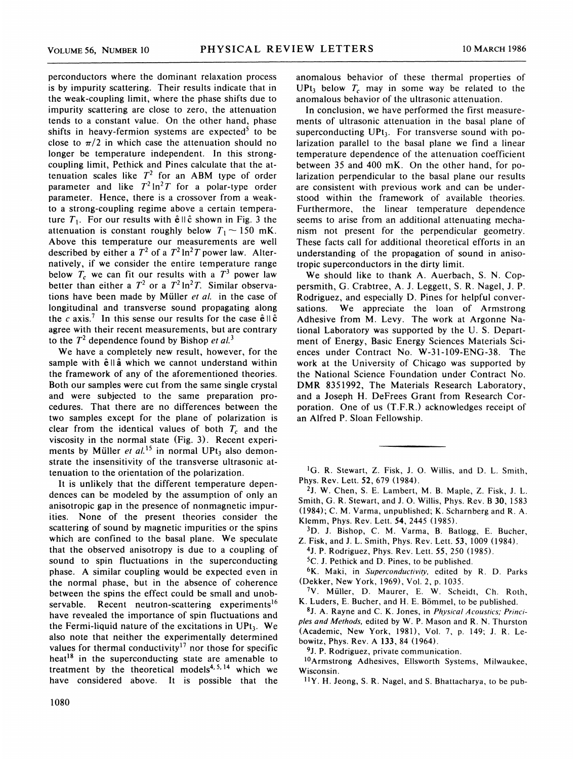perconductors where the dominant relaxation process is by impurity scattering. Their results indicate that in the weak-coupling limit, where the phase shifts due to impurity scattering are close to zero, the attenuation tends to a constant value. On the other hand, phase shifts in heavy-fermion systems are expected<sup>5</sup> to be close to  $\pi/2$  in which case the attenuation should no longer be temperature independent. In this strongcoupling limit, Pethick and Pines calculate that the attenuation scales like  $T^2$  for an ABM type of order parameter and like  $T^2 \ln^2 T$  for a polar-type order parameter. Hence, there is a crossover from a weakto a strong-coupling regime above a certain temperature  $T_1$ . For our results with  $\hat{e} \parallel \hat{c}$  shown in Fig. 3 the attenuation is constant roughly below  $T_1 \sim 150$  mK. Above this temperature our measurements are well described by either a  $T^2$  of a  $T^2 \ln^2 T$  power law. Alternatively, if we consider the entire temperature range below  $T_c$  we can fit our results with a  $T<sup>3</sup>$  power law better than either a  $T^2$  or a  $T^2 \ln^2 T$ . Similar observations have been made by Müller et al. in the case of longitudinal and transverse sound propagating along the c axis.<sup>7</sup> In this sense our results for the case  $\hat{e}$ ll  $\hat{c}$ agree with their recent measurements, but are contrary to the  $T^2$  dependence found by Bishop et al.<sup>3</sup>

We have a completely new result, however, for the sample with  $\hat{e}$ ll $\hat{a}$  which we cannot understand within the framework of any of the aforementioned theories. Both our samples were cut from the same single crystal and were subjected to the same preparation procedures. That there are no differences between the two samples except for the plane of polarization is clear from the identical values of both  $T_c$  and the viscosity in the normal state (Fig. 3). Recent experiments by Müller et  $al.^{15}$  in normal UPt<sub>3</sub> also demonstrate the insensitivity of the transverse ultrasonic attenuation to the orientation of the polarization.

It is unlikely that the different temperature dependences can be modeled by the assumption of only an anisotropic gap in the presence of nonmagnetic impurities. None of the present theories consider the scattering of sound by magnetic impurities or the spins which are confined to the basal plane. We speculate that the observed anisotropy is due to a coupling of sound to spin fluctuations in the superconducting phase. A similar coupling would be expected even in the normal phase, but in the absence of coherence between the spins the effect could be small and unobservable. Recent neutron-scattering experiments<sup>16</sup> have revealed the importance of spin fluctuations and the Fermi-liquid nature of the excitations in  $UPt_3$ . We also note that neither the experimentally determined values for thermal conductivity<sup>17</sup> nor those for specific heat<sup>18</sup> in the superconducting state are amenable to treatment by the theoretical models<sup>4, 5, 14</sup> which we have considered above. It is possible that the anomalous behavior of these thermal properties of UPt<sub>3</sub> below  $T_c$  may in some way be related to the anomalous behavior of the ultrasonic attenuation.

In conclusion, we have performed the first measurements of ultrasonic attenuation in the basal plane of superconducting  $UPt_3$ . For transverse sound with polarization parallel to the basal plane we find a linear temperature dependence of the attenuation coefficient between 35 and 400 mK. On the other hand, for polarization perpendicular to the basal plane our results are consistent with previous work and can be understood within the framework of available theories. Furthermore, the linear temperature dependence seems to arise from an additional attenuating mechanism not present for the perpendicular geometry. These facts call for additional theoretical efforts in an understanding of the propagation of sound in anisotropic superconductors in the dirty limit.

We should like to thank A. Auerbach, S. N. Coppersmith, G. Crabtree, A. J. Leggett, S. R. Nagel, J. P. Rodriguez, and especially D. Pines for helpful conversations. We appreciate the loan of Armstrong Adhesive from M. Levy. The work at Argonne National Laboratory was supported by the U. S. Department of Energy, Basic Energy Sciences Materials Sciences under Contract No. W-31-109-ENG-38. The work at the University of Chicago was supported by the National Science Foundation under Contract No. DMR 8351992, The Materials Research Laboratory, and a Joseph H. DeFrees Grant from Research Corporation. One of us (T.F.R.) acknowledges receipt of an Alfred P. Sloan Fellowship.

<sup>1</sup>G. R. Stewart, Z. Fisk, J. O. Willis, and D. L. Smith, Phys. Rev. Lett. 52, 679 (1984).

2J. %. Chen, S. E. Lambert, M. B. Maple, Z. Fisk, J. L. Smith, G. R. Stewart, and J. O. Willis, Phys. Rev. B 30, 1583 (1984);C. M. Varma, unpublished; K. Scharnberg and R. A. Klemm, Phys. Rev. Lett. 54, 2445 (1985).

3D. J. Bishop, C. M. Varma, B. Batlogg, E. Bucher, Z. Fisk, and J. L. Smith, Phys. Rev. Lett. 53, 1009 (1984).

4J. P. Rodriguez, Phys. Rev. Lett. 55, 250 (1985).

5C. J. Pethick and D. Pines, to be published.

<sup>6</sup>K. Maki, in Superconductivity, edited by R. D. Parks (Dekker, New York, 1969), Vol. 2, p. 1035.

 $7V.$  Müller, D. Maurer, E. W. Scheidt, Ch. Roth, K. Luders, E. Bucher, and H. E. Bömmel, to be published.

8J. A. Rayne and C. K. Jones, in Physical Acoustics; Principles and Methods, edited by W. P. Mason and R. N. Thurston (Academic, New York, 1981), Vol. 7, p. 149; J. R. Lebowitz, Phys. Rev. A 133, 84 (1964).

9J. P. Rodriguez, private communication.

<sup>10</sup>Armstrong Adhesives, Ellsworth Systems, Milwaukee, Wisconsin.

 $^{11}Y$ . H. Jeong, S. R. Nagel, and S. Bhattacharya, to be pub-